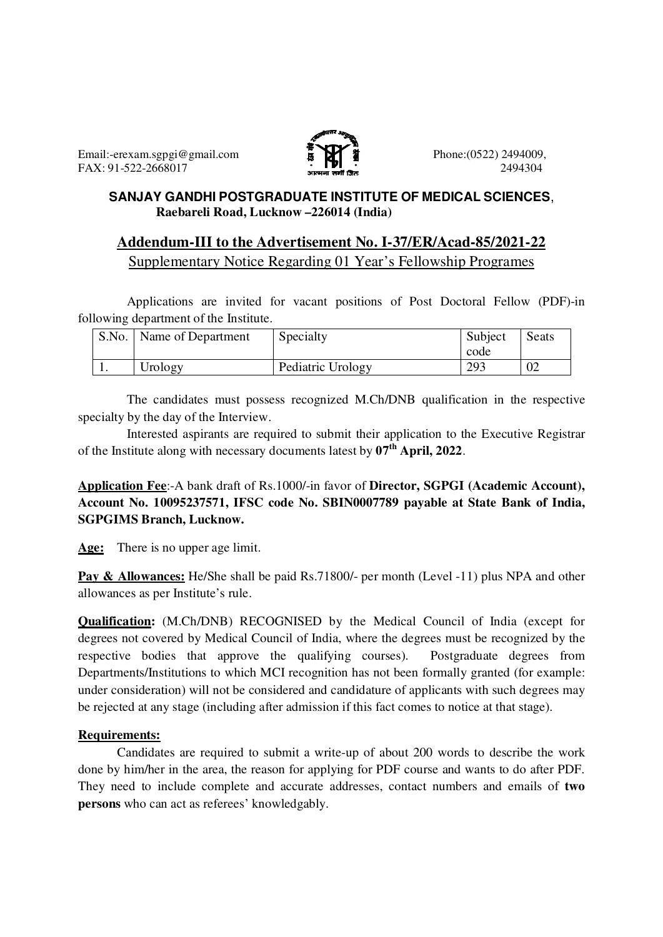

## **SANJAY GANDHI POSTGRADUATE INSTITUTE OF MEDICAL SCIENCES**,  **Raebareli Road, Lucknow –226014 (India)**

# **Addendum-III to the Advertisement No. I-37/ER/Acad-85/2021-22** Supplementary Notice Regarding 01 Year's Fellowship Programes

Applications are invited for vacant positions of Post Doctoral Fellow (PDF)-in following department of the Institute.

| S.No. | . Name of Department | Specialty         | Subject<br>code | Seats |
|-------|----------------------|-------------------|-----------------|-------|
| . .   | Urology              | Pediatric Urology | 293             | 02    |

 The candidates must possess recognized M.Ch/DNB qualification in the respective specialty by the day of the Interview.

 Interested aspirants are required to submit their application to the Executive Registrar of the Institute along with necessary documents latest by **07th April, 2022**.

**Application Fee**:-A bank draft of Rs.1000/-in favor of **Director, SGPGI (Academic Account), Account No. 10095237571, IFSC code No. SBIN0007789 payable at State Bank of India, SGPGIMS Branch, Lucknow.** 

**Age:** There is no upper age limit.

**Pay & Allowances:** He/She shall be paid Rs.71800/- per month (Level -11) plus NPA and other allowances as per Institute's rule.

**Qualification:** (M.Ch/DNB) RECOGNISED by the Medical Council of India (except for degrees not covered by Medical Council of India, where the degrees must be recognized by the respective bodies that approve the qualifying courses). Postgraduate degrees from Departments/Institutions to which MCI recognition has not been formally granted (for example: under consideration) will not be considered and candidature of applicants with such degrees may be rejected at any stage (including after admission if this fact comes to notice at that stage).

# **Requirements:**

Candidates are required to submit a write-up of about 200 words to describe the work done by him/her in the area, the reason for applying for PDF course and wants to do after PDF. They need to include complete and accurate addresses, contact numbers and emails of **two persons** who can act as referees' knowledgably.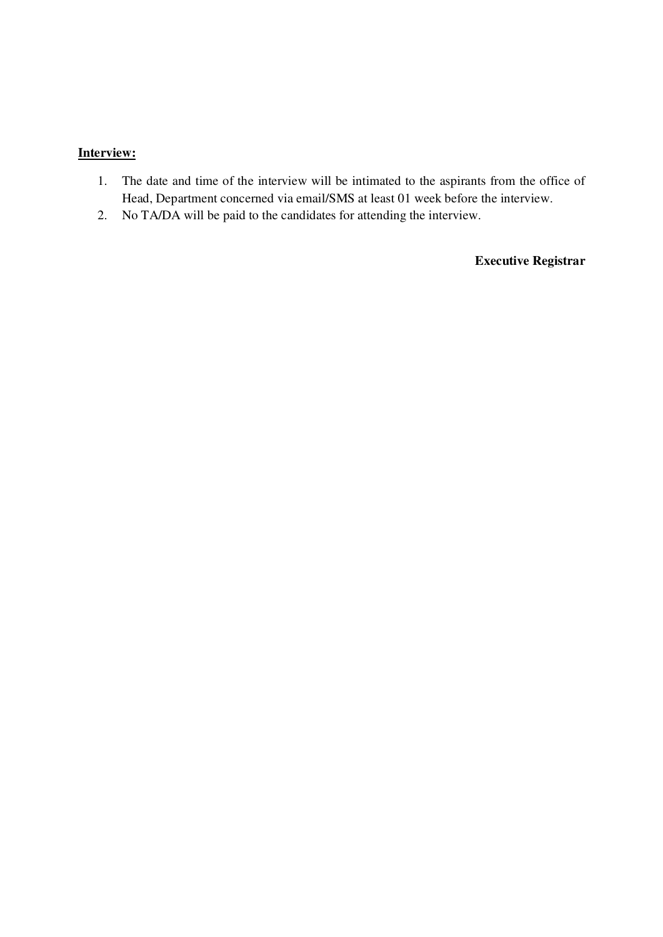# **Interview:**

- 1. The date and time of the interview will be intimated to the aspirants from the office of Head, Department concerned via email/SMS at least 01 week before the interview.
- 2. No TA/DA will be paid to the candidates for attending the interview.

**Executive Registrar**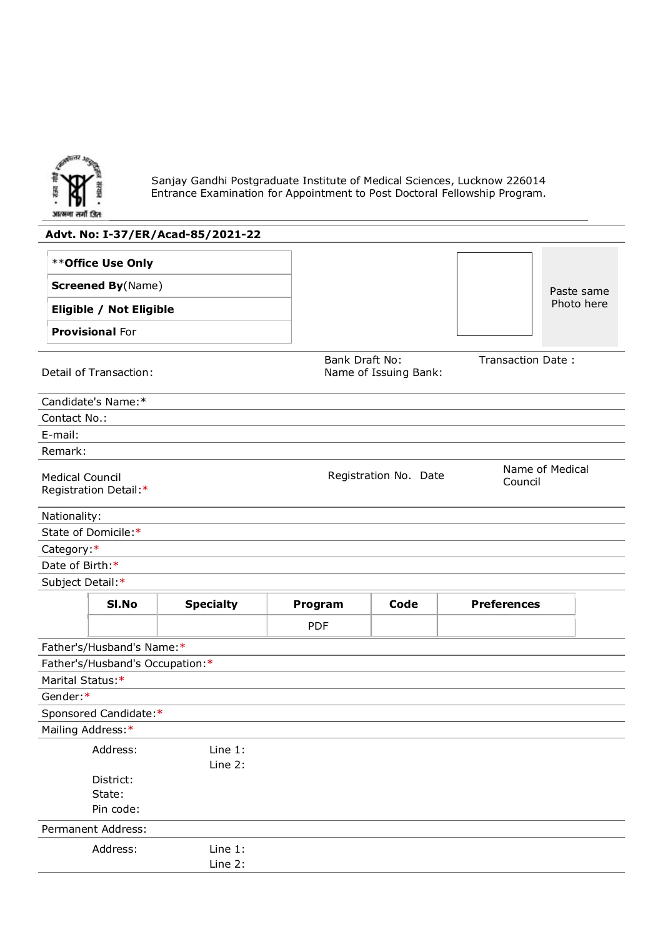

Sanjay Gandhi Postgraduate Institute of Medical Sciences, Lucknow 226014 Entrance Examination for Appointment to Post Doctoral Fellowship Program.

# **Advt. No: I-37/ER/Acad-85/2021-22** \*\***Office Use Only Screened By**(Name) **Eligible / Not Eligible Provisional** For Paste same Photo here Detail of Transaction: Bank Draft No: Name of Issuing Bank: Transaction Date : Candidate's Name:\* Contact No.: E-mail: Remark: Medical Council Registration Detail:\* Registration No. Date Mame of Medical Council Nationality: State of Domicile:\* Category:\* Date of Birth:\* Subject Detail:\* **Sl.No Specialty Program Code Preferences** PDF Father's/Husband's Name:\* Father's/Husband's Occupation:\* Marital Status:\* Gender:\* Sponsored Candidate:\* Mailing Address: \* Address: Line 1: Line 2: District: State: Pin code: Permanent Address: Address: Line 1: Line 2: